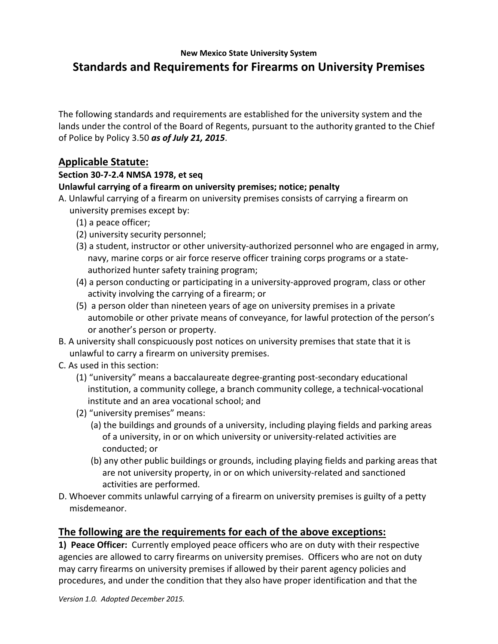## **New Mexico State University System Standards and Requirements for Firearms on University Premises**

The following standards and requirements are established for the university system and the lands under the control of the Board of Regents, pursuant to the authority granted to the Chief of Police by Policy 3.50 *as of July 21, 2015*.

## **Applicable Statute:**

### **Section 30‐7‐2.4 NMSA 1978, et seq**

### **Unlawful carrying of a firearm on university premises; notice; penalty**

- A. Unlawful carrying of a firearm on university premises consists of carrying a firearm on university premises except by:
	- (1) a peace officer;
	- (2) university security personnel;
	- (3) a student, instructor or other university‐authorized personnel who are engaged in army, navy, marine corps or air force reserve officer training corps programs or a state‐ authorized hunter safety training program;
	- (4) a person conducting or participating in a university‐approved program, class or other activity involving the carrying of a firearm; or
	- (5) a person older than nineteen years of age on university premises in a private automobile or other private means of conveyance, for lawful protection of the person's or another's person or property.
- B. A university shall conspicuously post notices on university premises that state that it is unlawful to carry a firearm on university premises.
- C. As used in this section:
	- (1) "university" means a baccalaureate degree‐granting post‐secondary educational institution, a community college, a branch community college, a technical‐vocational institute and an area vocational school; and
	- (2) "university premises" means:
		- (a) the buildings and grounds of a university, including playing fields and parking areas of a university, in or on which university or university‐related activities are conducted; or
		- (b) any other public buildings or grounds, including playing fields and parking areas that are not university property, in or on which university‐related and sanctioned activities are performed.
- D. Whoever commits unlawful carrying of a firearm on university premises is guilty of a petty misdemeanor.

# **The following are the requirements for each of the above exceptions:**

**1) Peace Officer:** Currently employed peace officers who are on duty with their respective agencies are allowed to carry firearms on university premises. Officers who are not on duty may carry firearms on university premises if allowed by their parent agency policies and procedures, and under the condition that they also have proper identification and that the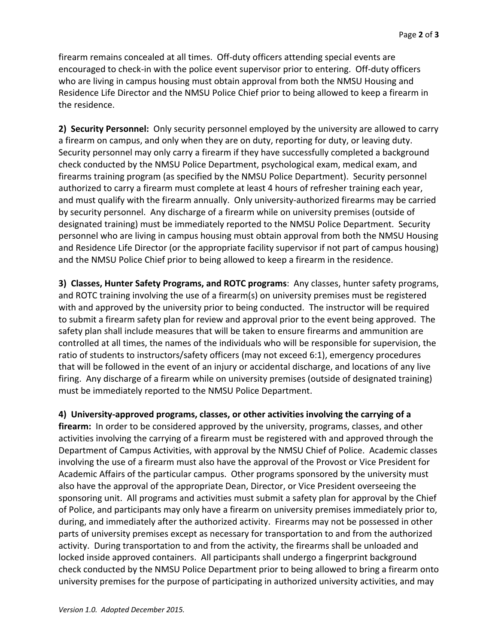firearm remains concealed at all times. Off‐duty officers attending special events are encouraged to check‐in with the police event supervisor prior to entering. Off‐duty officers who are living in campus housing must obtain approval from both the NMSU Housing and Residence Life Director and the NMSU Police Chief prior to being allowed to keep a firearm in the residence.

**2) Security Personnel:** Only security personnel employed by the university are allowed to carry a firearm on campus, and only when they are on duty, reporting for duty, or leaving duty. Security personnel may only carry a firearm if they have successfully completed a background check conducted by the NMSU Police Department, psychological exam, medical exam, and firearms training program (as specified by the NMSU Police Department). Security personnel authorized to carry a firearm must complete at least 4 hours of refresher training each year, and must qualify with the firearm annually. Only university-authorized firearms may be carried by security personnel. Any discharge of a firearm while on university premises (outside of designated training) must be immediately reported to the NMSU Police Department. Security personnel who are living in campus housing must obtain approval from both the NMSU Housing and Residence Life Director (or the appropriate facility supervisor if not part of campus housing) and the NMSU Police Chief prior to being allowed to keep a firearm in the residence.

**3) Classes, Hunter Safety Programs, and ROTC programs**: Any classes, hunter safety programs, and ROTC training involving the use of a firearm(s) on university premises must be registered with and approved by the university prior to being conducted. The instructor will be required to submit a firearm safety plan for review and approval prior to the event being approved. The safety plan shall include measures that will be taken to ensure firearms and ammunition are controlled at all times, the names of the individuals who will be responsible for supervision, the ratio of students to instructors/safety officers (may not exceed 6:1), emergency procedures that will be followed in the event of an injury or accidental discharge, and locations of any live firing. Any discharge of a firearm while on university premises (outside of designated training) must be immediately reported to the NMSU Police Department.

**4) University‐approved programs, classes, or other activities involving the carrying of a firearm:**  In order to be considered approved by the university, programs, classes, and other activities involving the carrying of a firearm must be registered with and approved through the Department of Campus Activities, with approval by the NMSU Chief of Police. Academic classes involving the use of a firearm must also have the approval of the Provost or Vice President for Academic Affairs of the particular campus. Other programs sponsored by the university must also have the approval of the appropriate Dean, Director, or Vice President overseeing the sponsoring unit. All programs and activities must submit a safety plan for approval by the Chief of Police, and participants may only have a firearm on university premises immediately prior to, during, and immediately after the authorized activity. Firearms may not be possessed in other parts of university premises except as necessary for transportation to and from the authorized activity. During transportation to and from the activity, the firearms shall be unloaded and locked inside approved containers. All participants shall undergo a fingerprint background check conducted by the NMSU Police Department prior to being allowed to bring a firearm onto university premises for the purpose of participating in authorized university activities, and may